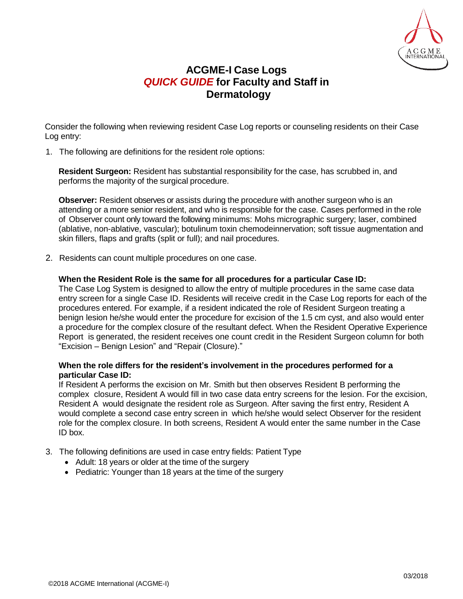

## **ACGME-I Case Logs** *QUICK GUIDE* **for Faculty and Staff in Dermatology**

Consider the following when reviewing resident Case Log reports or counseling residents on their Case Log entry:

1. The following are definitions for the resident role options:

**Resident Surgeon:** Resident has substantial responsibility for the case, has scrubbed in, and performs the majority of the surgical procedure.

**Observer:** Resident observes or assists during the procedure with another surgeon who is an attending or a more senior resident, and who is responsible for the case. Cases performed in the role of Observer count only toward the following minimums: Mohs micrographic surgery; laser, combined (ablative, non-ablative, vascular); botulinum toxin chemodeinnervation; soft tissue augmentation and skin fillers, flaps and grafts (split or full); and nail procedures.

2. Residents can count multiple procedures on one case.

## **When the Resident Role is the same for all procedures for a particular Case ID:**

The Case Log System is designed to allow the entry of multiple procedures in the same case data entry screen for a single Case ID. Residents will receive credit in the Case Log reports for each of the procedures entered. For example, if a resident indicated the role of Resident Surgeon treating a benign lesion he/she would enter the procedure for excision of the 1.5 cm cyst, and also would enter a procedure for the complex closure of the resultant defect. When the Resident Operative Experience Report is generated, the resident receives one count credit in the Resident Surgeon column for both "Excision – Benign Lesion" and "Repair (Closure)."

## **When the role differs for the resident's involvement in the procedures performed for a particular Case ID:**

If Resident A performs the excision on Mr. Smith but then observes Resident B performing the complex closure, Resident A would fill in two case data entry screens for the lesion. For the excision, Resident A would designate the resident role as Surgeon. After saving the first entry, Resident A would complete a second case entry screen in which he/she would select Observer for the resident role for the complex closure. In both screens, Resident A would enter the same number in the Case ID box.

- 3. The following definitions are used in case entry fields: Patient Type
	- Adult: 18 years or older at the time of the surgery
	- Pediatric: Younger than 18 years at the time of the surgery